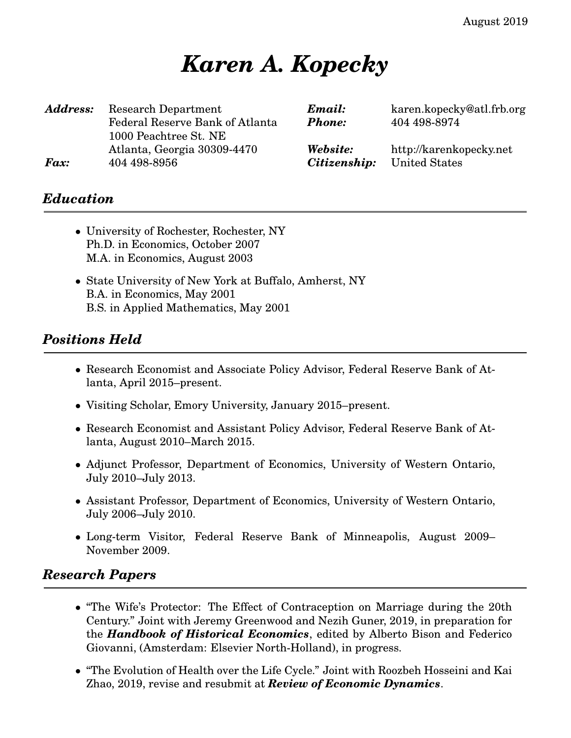August 2019

# *Karen A. Kopecky*

| <b>Address:</b> | Research Department<br>Federal Reserve Bank of Atlanta<br>1000 Peachtree St. NE | Email:<br><b>Phone:</b> | karen.kopecky@atl.frb.org<br>404 498-8974 |
|-----------------|---------------------------------------------------------------------------------|-------------------------|-------------------------------------------|
| <b>Fax:</b>     | Atlanta, Georgia 30309-4470                                                     | Website:                | http://karenkopecky.net                   |
|                 | 404 498-8956                                                                    | Citizenship:            | United States                             |

# *Education*

- University of Rochester, Rochester, NY Ph.D. in Economics, October 2007 M.A. in Economics, August 2003
- State University of New York at Buffalo, Amherst, NY B.A. in Economics, May 2001 B.S. in Applied Mathematics, May 2001

## *Positions Held*

- Research Economist and Associate Policy Advisor, Federal Reserve Bank of Atlanta, April 2015–present.
- Visiting Scholar, Emory University, January 2015–present.
- Research Economist and Assistant Policy Advisor, Federal Reserve Bank of Atlanta, August 2010–March 2015.
- Adjunct Professor, Department of Economics, University of Western Ontario, July 2010–July 2013.
- Assistant Professor, Department of Economics, University of Western Ontario, July 2006–July 2010.
- Long-term Visitor, Federal Reserve Bank of Minneapolis, August 2009– November 2009.

#### *Research Papers*

- "The Wife's Protector: The Effect of Contraception on Marriage during the 20th Century." Joint with Jeremy Greenwood and Nezih Guner, 2019, in preparation for the *Handbook of Historical Economics*, edited by Alberto Bison and Federico Giovanni, (Amsterdam: Elsevier North-Holland), in progress.
- "The Evolution of Health over the Life Cycle." Joint with Roozbeh Hosseini and Kai Zhao, 2019, revise and resubmit at *Review of Economic Dynamics*.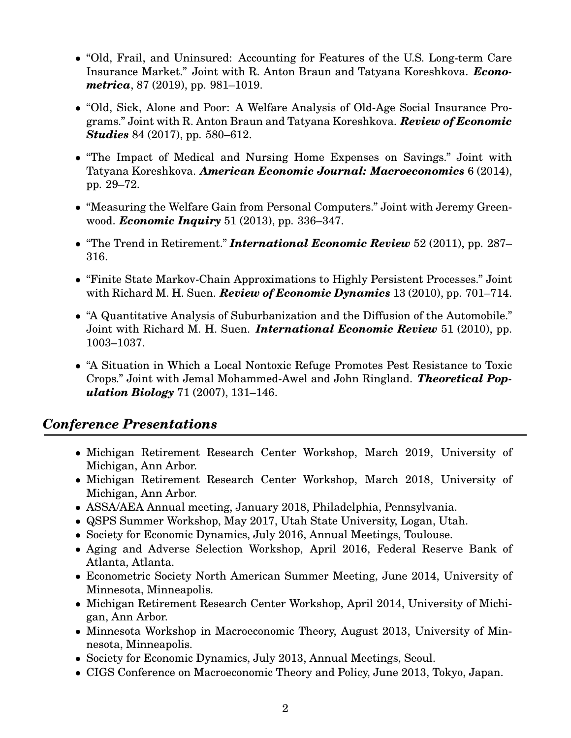- "Old, Frail, and Uninsured: Accounting for Features of the U.S. Long-term Care Insurance Market." Joint with R. Anton Braun and Tatyana Koreshkova. *Econometrica*, 87 (2019), pp. 981–1019.
- "Old, Sick, Alone and Poor: A Welfare Analysis of Old-Age Social Insurance Programs." Joint with R. Anton Braun and Tatyana Koreshkova. *Review of Economic Studies* 84 (2017), pp. 580–612.
- "The Impact of Medical and Nursing Home Expenses on Savings." Joint with Tatyana Koreshkova. *American Economic Journal: Macroeconomics* 6 (2014), pp. 29–72.
- "Measuring the Welfare Gain from Personal Computers." Joint with Jeremy Greenwood. *Economic Inquiry* 51 (2013), pp. 336–347.
- "The Trend in Retirement." *International Economic Review* 52 (2011), pp. 287– 316.
- "Finite State Markov-Chain Approximations to Highly Persistent Processes." Joint with Richard M. H. Suen. *Review of Economic Dynamics* 13 (2010), pp. 701–714.
- "A Quantitative Analysis of Suburbanization and the Diffusion of the Automobile." Joint with Richard M. H. Suen. *International Economic Review* 51 (2010), pp. 1003–1037.
- "A Situation in Which a Local Nontoxic Refuge Promotes Pest Resistance to Toxic Crops." Joint with Jemal Mohammed-Awel and John Ringland. *Theoretical Population Biology* 71 (2007), 131–146.

### *Conference Presentations*

- Michigan Retirement Research Center Workshop, March 2019, University of Michigan, Ann Arbor.
- Michigan Retirement Research Center Workshop, March 2018, University of Michigan, Ann Arbor.
- ASSA/AEA Annual meeting, January 2018, Philadelphia, Pennsylvania.
- QSPS Summer Workshop, May 2017, Utah State University, Logan, Utah.
- Society for Economic Dynamics, July 2016, Annual Meetings, Toulouse.
- Aging and Adverse Selection Workshop, April 2016, Federal Reserve Bank of Atlanta, Atlanta.
- Econometric Society North American Summer Meeting, June 2014, University of Minnesota, Minneapolis.
- Michigan Retirement Research Center Workshop, April 2014, University of Michigan, Ann Arbor.
- Minnesota Workshop in Macroeconomic Theory, August 2013, University of Minnesota, Minneapolis.
- Society for Economic Dynamics, July 2013, Annual Meetings, Seoul.
- CIGS Conference on Macroeconomic Theory and Policy, June 2013, Tokyo, Japan.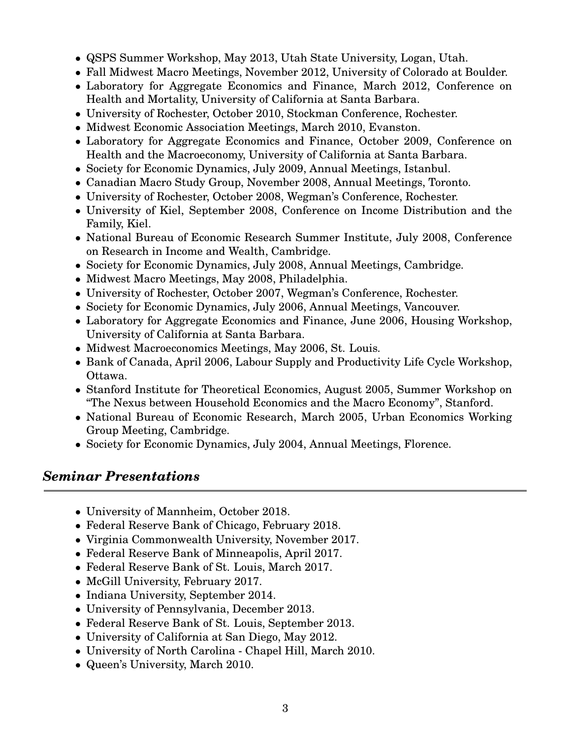- QSPS Summer Workshop, May 2013, Utah State University, Logan, Utah.
- Fall Midwest Macro Meetings, November 2012, University of Colorado at Boulder.
- Laboratory for Aggregate Economics and Finance, March 2012, Conference on Health and Mortality, University of California at Santa Barbara.
- University of Rochester, October 2010, Stockman Conference, Rochester.
- Midwest Economic Association Meetings, March 2010, Evanston.
- Laboratory for Aggregate Economics and Finance, October 2009, Conference on Health and the Macroeconomy, University of California at Santa Barbara.
- Society for Economic Dynamics, July 2009, Annual Meetings, Istanbul.
- Canadian Macro Study Group, November 2008, Annual Meetings, Toronto.
- University of Rochester, October 2008, Wegman's Conference, Rochester.
- University of Kiel, September 2008, Conference on Income Distribution and the Family, Kiel.
- National Bureau of Economic Research Summer Institute, July 2008, Conference on Research in Income and Wealth, Cambridge.
- Society for Economic Dynamics, July 2008, Annual Meetings, Cambridge.
- Midwest Macro Meetings, May 2008, Philadelphia.
- University of Rochester, October 2007, Wegman's Conference, Rochester.
- Society for Economic Dynamics, July 2006, Annual Meetings, Vancouver.
- Laboratory for Aggregate Economics and Finance, June 2006, Housing Workshop, University of California at Santa Barbara.
- Midwest Macroeconomics Meetings, May 2006, St. Louis.
- Bank of Canada, April 2006, Labour Supply and Productivity Life Cycle Workshop, Ottawa.
- Stanford Institute for Theoretical Economics, August 2005, Summer Workshop on "The Nexus between Household Economics and the Macro Economy", Stanford.
- National Bureau of Economic Research, March 2005, Urban Economics Working Group Meeting, Cambridge.
- Society for Economic Dynamics, July 2004, Annual Meetings, Florence.

#### *Seminar Presentations*

- University of Mannheim, October 2018.
- Federal Reserve Bank of Chicago, February 2018.
- Virginia Commonwealth University, November 2017.
- Federal Reserve Bank of Minneapolis, April 2017.
- Federal Reserve Bank of St. Louis, March 2017.
- McGill University, February 2017.
- Indiana University, September 2014.
- University of Pennsylvania, December 2013.
- Federal Reserve Bank of St. Louis, September 2013.
- University of California at San Diego, May 2012.
- University of North Carolina Chapel Hill, March 2010.
- Queen's University, March 2010.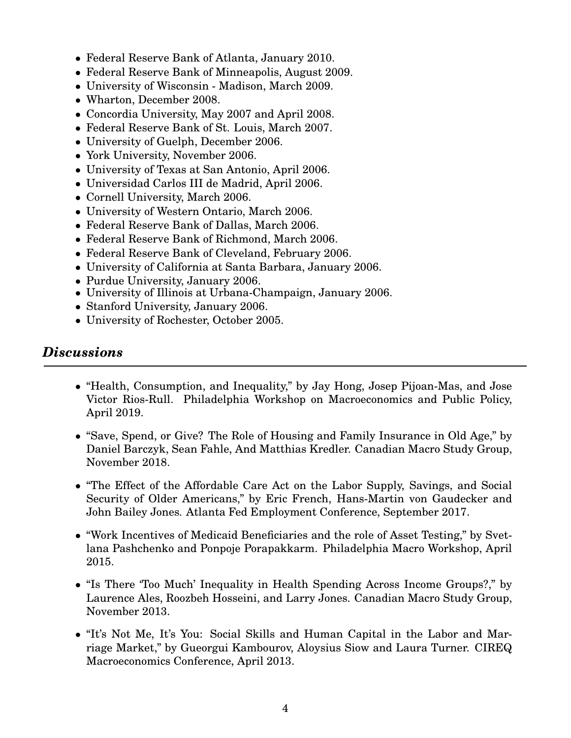- Federal Reserve Bank of Atlanta, January 2010.
- Federal Reserve Bank of Minneapolis, August 2009.
- University of Wisconsin Madison, March 2009.
- Wharton, December 2008.
- Concordia University, May 2007 and April 2008.
- Federal Reserve Bank of St. Louis, March 2007.
- University of Guelph, December 2006.
- York University, November 2006.
- University of Texas at San Antonio, April 2006.
- Universidad Carlos III de Madrid, April 2006.
- Cornell University, March 2006.
- University of Western Ontario, March 2006.
- Federal Reserve Bank of Dallas, March 2006.
- Federal Reserve Bank of Richmond, March 2006.
- Federal Reserve Bank of Cleveland, February 2006.
- University of California at Santa Barbara, January 2006.
- Purdue University, January 2006.
- University of Illinois at Urbana-Champaign, January 2006.
- Stanford University, January 2006.
- University of Rochester, October 2005.

#### *Discussions*

- "Health, Consumption, and Inequality," by Jay Hong, Josep Pijoan-Mas, and Jose Victor Rios-Rull. Philadelphia Workshop on Macroeconomics and Public Policy, April 2019.
- "Save, Spend, or Give? The Role of Housing and Family Insurance in Old Age," by Daniel Barczyk, Sean Fahle, And Matthias Kredler. Canadian Macro Study Group, November 2018.
- "The Effect of the Affordable Care Act on the Labor Supply, Savings, and Social Security of Older Americans," by Eric French, Hans-Martin von Gaudecker and John Bailey Jones. Atlanta Fed Employment Conference, September 2017.
- "Work Incentives of Medicaid Beneficiaries and the role of Asset Testing," by Svetlana Pashchenko and Ponpoje Porapakkarm. Philadelphia Macro Workshop, April 2015.
- "Is There 'Too Much' Inequality in Health Spending Across Income Groups?," by Laurence Ales, Roozbeh Hosseini, and Larry Jones. Canadian Macro Study Group, November 2013.
- "It's Not Me, It's You: Social Skills and Human Capital in the Labor and Marriage Market," by Gueorgui Kambourov, Aloysius Siow and Laura Turner. CIREQ Macroeconomics Conference, April 2013.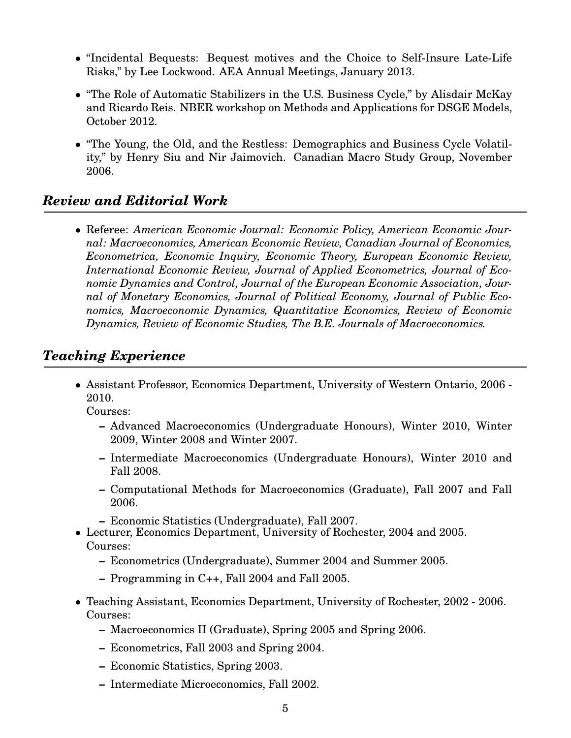- "Incidental Bequests: Bequest motives and the Choice to Self-Insure Late-Life Risks," by Lee Lockwood. AEA Annual Meetings, January 2013.
- "The Role of Automatic Stabilizers in the U.S. Business Cycle," by Alisdair McKay and Ricardo Reis. NBER workshop on Methods and Applications for DSGE Models, October 2012.
- "The Young, the Old, and the Restless: Demographics and Business Cycle Volatility," by Henry Siu and Nir Jaimovich. Canadian Macro Study Group, November 2006.

# *Review and Editorial Work*

• Referee: *American Economic Journal: Economic Policy, American Economic Journal: Macroeconomics, American Economic Review, Canadian Journal of Economics, Econometrica, Economic Inquiry, Economic Theory, European Economic Review, International Economic Review, Journal of Applied Econometrics, Journal of Economic Dynamics and Control, Journal of the European Economic Association, Journal of Monetary Economics, Journal of Political Economy, Journal of Public Economics, Macroeconomic Dynamics, Quantitative Economics, Review of Economic Dynamics, Review of Economic Studies, The B.E. Journals of Macroeconomics.*

## *Teaching Experience*

• Assistant Professor, Economics Department, University of Western Ontario, 2006 - 2010.

Courses:

- **–** Advanced Macroeconomics (Undergraduate Honours), Winter 2010, Winter 2009, Winter 2008 and Winter 2007.
- **–** Intermediate Macroeconomics (Undergraduate Honours), Winter 2010 and Fall 2008.
- **–** Computational Methods for Macroeconomics (Graduate), Fall 2007 and Fall 2006.
- **–** Economic Statistics (Undergraduate), Fall 2007.
- Lecturer, Economics Department, University of Rochester, 2004 and 2005. Courses:
	- **–** Econometrics (Undergraduate), Summer 2004 and Summer 2005.
	- **–** Programming in C++, Fall 2004 and Fall 2005.
- Teaching Assistant, Economics Department, University of Rochester, 2002 2006. Courses:
	- **–** Macroeconomics II (Graduate), Spring 2005 and Spring 2006.
	- **–** Econometrics, Fall 2003 and Spring 2004.
	- **–** Economic Statistics, Spring 2003.
	- **–** Intermediate Microeconomics, Fall 2002.